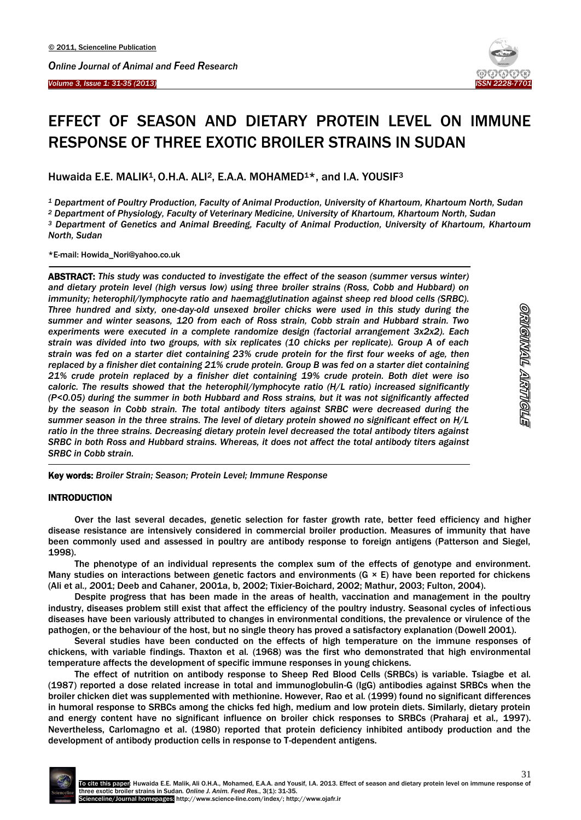

# EFFECT OF SEASON AND DIETARY PROTEIN LEVEL ON IMMUNE RESPONSE OF THREE EXOTIC BROILER STRAINS IN SUDAN

Huwaida E.E. MALIK<sup>1</sup>, O.H.A. ALI<sup>2</sup>, E.A.A. MOHAMED<sup>1\*</sup>, and I.A. YOUSIF<sup>3</sup>

*<sup>1</sup> Department of Poultry Production, Faculty of Animal Production, University of Khartoum, Khartoum North, Sudan*

*<sup>2</sup> Department of Physiology, Faculty of Veterinary Medicine, University of Khartoum, Khartoum North, Sudan*

*<sup>3</sup> Department of Genetics and Animal Breeding, Faculty of Animal Production, University of Khartoum, Khartoum North, Sudan*

\*E-mail: Howida\_Nori@yahoo.co.uk

 $\overline{\phantom{a}}$ 

ABSTRACT: *This study was conducted to investigate the effect of the season (summer versus winter) and dietary protein level (high versus low) using three broiler strains (Ross, Cobb and Hubbard) on immunity; heterophil/lymphocyte ratio and haemagglutination against sheep red blood cells (SRBC). Three hundred and sixty, one-day-old unsexed broiler chicks were used in this study during the summer and winter seasons, 120 from each of Ross strain, Cobb strain and Hubbard strain. Two experiments were executed in a complete randomize design (factorial arrangement 3x2x2). Each strain was divided into two groups, with six replicates (10 chicks per replicate). Group A of each strain was fed on a starter diet containing 23% crude protein for the first four weeks of age, then replaced by a finisher diet containing 21% crude protein. Group B was fed on a starter diet containing 21% crude protein replaced by a finisher diet containing 19% crude protein. Both diet were iso caloric. The results showed that the heterophil/lymphocyte ratio (H/L ratio) increased significantly (P<0.05) during the summer in both Hubbard and Ross strains, but it was not significantly affected by the season in Cobb strain. The total antibody titers against SRBC were decreased during the summer season in the three strains. The level of dietary protein showed no significant effect on H/L ratio in the three strains. Decreasing dietary protein level decreased the total antibody titers against SRBC in both Ross and Hubbard strains. Whereas, it does not affect the total antibody titers against SRBC in Cobb strain.*

Key words: *Broiler Strain; Season; Protein Level; Immune Response*

#### **INTRODUCTION**

-

Over the last several decades, genetic selection for faster growth rate, better feed efficiency and higher disease resistance are intensively considered in commercial broiler production. Measures of immunity that have been commonly used and assessed in poultry are antibody response to foreign antigens (Patterson and Siegel, 1998).

The phenotype of an individual represents the complex sum of the effects of genotype and environment. Many studies on interactions between genetic factors and environments ( $G \times E$ ) have been reported for chickens (Ali et al*., 2*001; Deeb and Cahaner, 2001a, b, 2002; Tixier-Boichard, 2002; Mathur, 2003; Fulton, 2004).

Despite progress that has been made in the areas of health, vaccination and management in the poultry industry, diseases problem still exist that affect the efficiency of the poultry industry. Seasonal cycles of infectious diseases have been variously attributed to changes in environmental conditions, the prevalence or virulence of the pathogen, or the behaviour of the host, but no single theory has proved a satisfactory explanation (Dowell 2001).

Several studies have been conducted on the effects of high temperature on the immune responses of chickens, with variable findings. Thaxton et al*.* (1968) was the first who demonstrated that high environmental temperature affects the development of specific immune responses in young chickens.

The effect of nutrition on antibody response to Sheep Red Blood Cells (SRBCs) is variable. Tsiagbe et al*.* (1987) reported a dose related increase in total and immunoglobulin-G (IgG) antibodies against SRBCs when the broiler chicken diet was supplemented with methionine. However, Rao et al*.* (1999) found no significant differences in humoral response to SRBCs among the chicks fed high, medium and low protein diets. Similarly, dietary protein and energy content have no significant influence on broiler chick responses to SRBCs (Praharaj et al*.,* 1997). Nevertheless, Carlomagno et al. (1980) reported that protein deficiency inhibited antibody production and the development of antibody production cells in response to T-dependent antigens.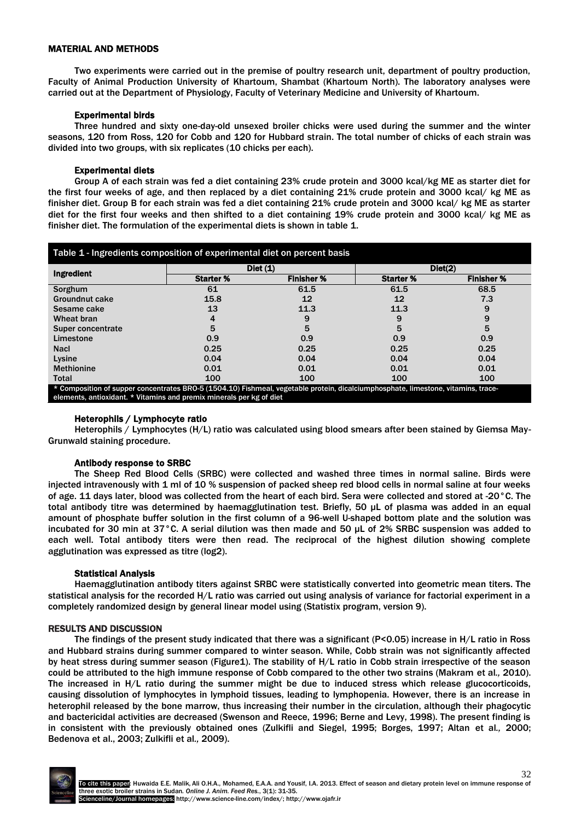## MATERIAL AND METHODS

Two experiments were carried out in the premise of poultry research unit, department of poultry production, Faculty of Animal Production University of Khartoum, Shambat (Khartoum North). The laboratory analyses were carried out at the Department of Physiology, Faculty of Veterinary Medicine and University of Khartoum.

## Experimental birds

Three hundred and sixty one-day-old unsexed broiler chicks were used during the summer and the winter seasons, 120 from Ross, 120 for Cobb and 120 for Hubbard strain. The total number of chicks of each strain was divided into two groups, with six replicates (10 chicks per each).

### Experimental diets

Group A of each strain was fed a diet containing 23% crude protein and 3000 kcal/kg ME as starter diet for the first four weeks of age, and then replaced by a diet containing 21% crude protein and 3000 kcal/ kg ME as finisher diet. Group B for each strain was fed a diet containing 21% crude protein and 3000 kcal/ kg ME as starter diet for the first four weeks and then shifted to a diet containing 19% crude protein and 3000 kcal/ kg ME as finisher diet. The formulation of the experimental diets is shown in table 1.

| <b>Ingredient</b> | Dict(1)          |                   | Diet(2)          |                   |
|-------------------|------------------|-------------------|------------------|-------------------|
|                   | <b>Starter %</b> | <b>Finisher %</b> | <b>Starter %</b> | <b>Finisher %</b> |
| Sorghum           | 61               | 61.5              | 61.5             | 68.5              |
| Groundnut cake    | 15.8             | 12                | 12               | 7.3               |
| Sesame cake       | 13               | 11.3              | 11.3             | 9                 |
| Wheat bran        |                  | 9                 | 9                | 9                 |
| Super concentrate | 5                | 5                 | 5                | 5                 |
| Limestone         | 0.9              | 0.9               | 0.9              | 0.9               |
| <b>Nacl</b>       | 0.25             | 0.25              | 0.25             | 0.25              |
| Lysine            | 0.04             | 0.04              | 0.04             | 0.04              |
| <b>Methionine</b> | 0.01             | 0.01              | 0.01             | 0.01              |
| Total             | 100              | 100               | 100              | 100               |

## Heterophils / Lymphocyte ratio

Heterophils / Lymphocytes (H/L) ratio was calculated using blood smears after been stained by Giemsa May-Grunwald staining procedure.

## Antibody response to SRBC

The Sheep Red Blood Cells (SRBC) were collected and washed three times in normal saline. Birds were injected intravenously with 1 ml of 10 % suspension of packed sheep red blood cells in normal saline at four weeks of age. 11 days later, blood was collected from the heart of each bird. Sera were collected and stored at -20°C. The total antibody titre was determined by haemagglutination test. Briefly, 50 μL of plasma was added in an equal amount of phosphate buffer solution in the first column of a 96-well U-shaped bottom plate and the solution was incubated for 30 min at 37°C. A serial dilution was then made and 50 μL of 2% SRBC suspension was added to each well. Total antibody titers were then read. The reciprocal of the highest dilution showing complete agglutination was expressed as titre (log2).

#### Statistical Analysis

Haemagglutination antibody titers against SRBC were statistically converted into geometric mean titers. The statistical analysis for the recorded H/L ratio was carried out using analysis of variance for factorial experiment in a completely randomized design by general linear model using (Statistix program, version 9).

#### RESULTS AND DISCUSSION

The findings of the present study indicated that there was a significant (P<0.05) increase in H/L ratio in Ross and Hubbard strains during summer compared to winter season. While, Cobb strain was not significantly affected by heat stress during summer season (Figure1). The stability of H/L ratio in Cobb strain irrespective of the season could be attributed to the high immune response of Cobb compared to the other two strains (Makram et al*.,* 2010). The increased in H/L ratio during the summer might be due to induced stress which release glucocorticoids, causing dissolution of lymphocytes in lymphoid tissues, leading to lymphopenia. However, there is an increase in heterophil released by the bone marrow, thus increasing their number in the circulation, although their phagocytic and bactericidal activities are decreased (Swenson and Reece, 1996; Berne and Levy, 1998). The present finding is in consistent with the previously obtained ones (Zulkifli and Siegel, 1995; Borges, 1997; Altan et al*.,* 2000; Bedenova et al., 2003; Zulkifli et al*.,* 2009).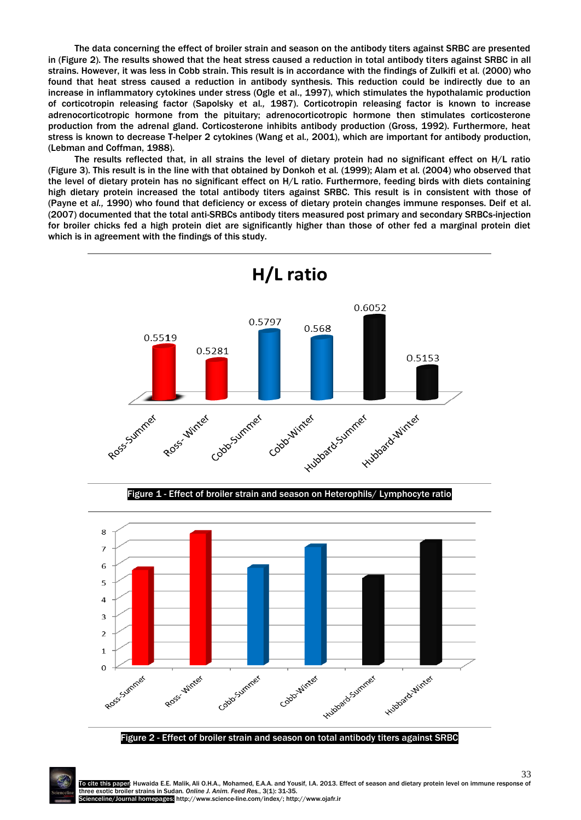The data concerning the effect of broiler strain and season on the antibody titers against SRBC are presented in (Figure 2). The results showed that the heat stress caused a reduction in total antibody titers against SRBC in all strains. However, it was less in Cobb strain. This result is in accordance with the findings of Zulkifi et al*.* (2000) who found that heat stress caused a reduction in antibody synthesis. This reduction could be indirectly due to an increase in inflammatory cytokines under stress (Ogle et al., 1997), which stimulates the hypothalamic production of corticotropin releasing factor (Sapolsky et al*.,* 1987). Corticotropin releasing factor is known to increase adrenocorticotropic hormone from the pituitary; adrenocorticotropic hormone then stimulates corticosterone production from the adrenal gland. Corticosterone inhibits antibody production (Gross, 1992). Furthermore, heat stress is known to decrease T-helper 2 cytokines (Wang et al*.,* 2001), which are important for antibody production, (Lebman and Coffman, 1988).

The results reflected that, in all strains the level of dietary protein had no significant effect on H/L ratio (Figure 3). This result is in the line with that obtained by Donkoh et al*.* (1999); Alam et al*.* (2004) who observed that the level of dietary protein has no significant effect on H/L ratio. Furthermore, feeding birds with diets containing high dietary protein increased the total antibody titers against SRBC. This result is in consistent with those of (Payne et a*l.,* 1990) who found that deficiency or excess of dietary protein changes immune responses. Deif et al. (2007) documented that the total anti-SRBCs antibody titers measured post primary and secondary SRBCs-injection for broiler chicks fed a high protein diet are significantly higher than those of other fed a marginal protein diet which is in agreement with the findings of this study.



Figure 2 - Effect of broiler strain and season on total antibody titers against SRBC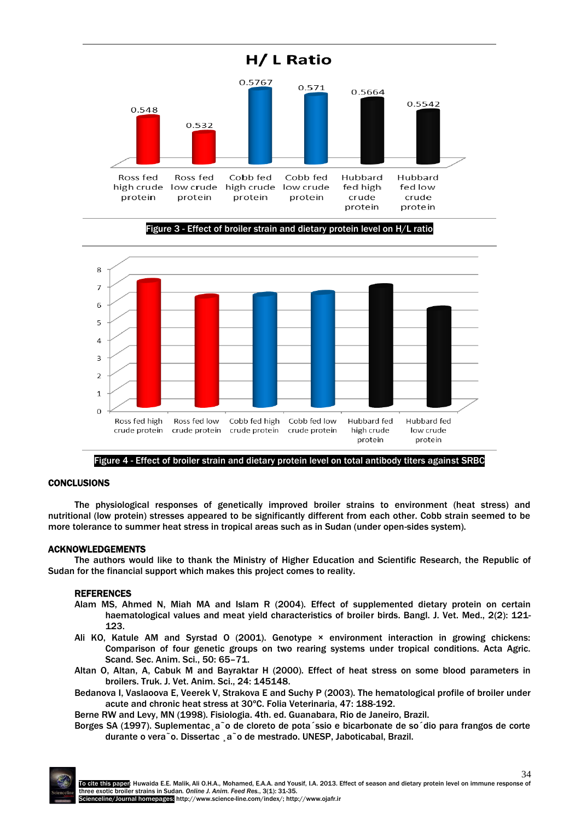

Figure 3 - Effect of broiler strain and dietary protein level on H/L ratio



Figure 4 - Effect of broiler strain and dietary protein level on total antibody titers against SRBC

### **CONCLUSIONS**

The physiological responses of genetically improved broiler strains to environment (heat stress) and nutritional (low protein) stresses appeared to be significantly different from each other. Cobb strain seemed to be more tolerance to summer heat stress in tropical areas such as in Sudan (under open-sides system).

## ACKNOWLEDGEMENTS

The authors would like to thank the Ministry of Higher Education and Scientific Research, the Republic of Sudan for the financial support which makes this project comes to reality.

## REFERENCES

- Alam MS, Ahmed N, Miah MA and Islam R (2004). Effect of supplemented dietary protein on certain haematological values and meat yield characteristics of broiler birds. Bangl. J. Vet. Med., 2(2): 121- 123.
- Ali KO, Katule AM and Syrstad O (2001). Genotype × environment interaction in growing chickens: Comparison of four genetic groups on two rearing systems under tropical conditions. Acta Agric. Scand. Sec. Anim. Sci., 50: 65–71.
- Altan O, Altan, A, Cabuk M and Bayraktar H (2000). Effect of heat stress on some blood parameters in broilers. Truk. J. Vet. Anim. Sci., 24: 145148.
- Bedanova I, Vaslaoova E, Veerek V, Strakova E and Suchy P (2003). The hematological profile of broiler under acute and chronic heat stress at 30ºC. Folia Veterinaria, 47: 188-192.

Berne RW and Levy, MN (1998). Fisiologia. 4th. ed. Guanabara, Rio de Janeiro, Brazil.

Borges SA (1997). Suplementac¸a˜o de cloreto de pota´ssio e bicarbonate de so´dio para frangos de corte durante o vera˜o. Dissertac ¸a˜o de mestrado. UNESP, Jaboticabal, Brazil.

34 To cite this paper: Huwaida E.E. Malik, Ali O.H.A., Mohamed, E.A.A. and Yousif, I.A. 2013. Effect of season and dietary protein level on immune response of three exotic broiler strains in Sudan*. Online J. Anim. Feed Res.*, 3(1): 31-35. Scienceline/Journal homepages: http://www.science-line.com/index/; http://www.ojafr.ir